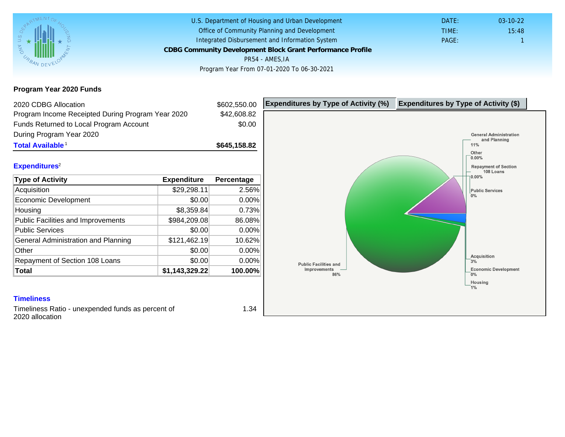## Program Year 2020 Funds

| 2020 CDBG Allocation                              |                | \$602,550.00 | Expenditures by Type of Activity (%) | Expenditure |
|---------------------------------------------------|----------------|--------------|--------------------------------------|-------------|
| Program Income Receipted During Program Year 2020 |                | \$42,608.82  |                                      |             |
| Funds Returned to Local Program Account           |                | \$0.00       |                                      |             |
| During Program Year 2020                          |                |              |                                      |             |
| Total Available <sup>1</sup>                      |                | \$645,158.82 |                                      |             |
|                                                   |                |              |                                      |             |
| Expenditures <sup>2</sup>                         |                |              |                                      |             |
| Type of Activity                                  | Expenditure    | Percentage   |                                      |             |
| Acquisition                                       | \$29,298.11    | 2.56%        |                                      |             |
| <b>Economic Development</b>                       | \$0.00         | $0.00\%$     |                                      |             |
| Housing                                           | \$8,359.84     | 0.73%        |                                      |             |
| <b>Public Facilities and Improvements</b>         | \$984,209.08   | 86.08%       |                                      |             |
| <b>Public Services</b>                            | \$0.00         | $0.00\%$     |                                      |             |
| General Administration and Planning               | \$121,462.19   | 10.62%       |                                      |             |
| Other                                             | \$0.00         | $0.00\%$     |                                      |             |
| Repayment of Section 108 Loans                    | \$0.00         | 0.00%        |                                      |             |
| Total                                             | \$1,143,329.22 | 100.00%      |                                      |             |

#### **Timeliness**

Timeliness Ratio - unexpended funds as percent of 2020 allocation

1.34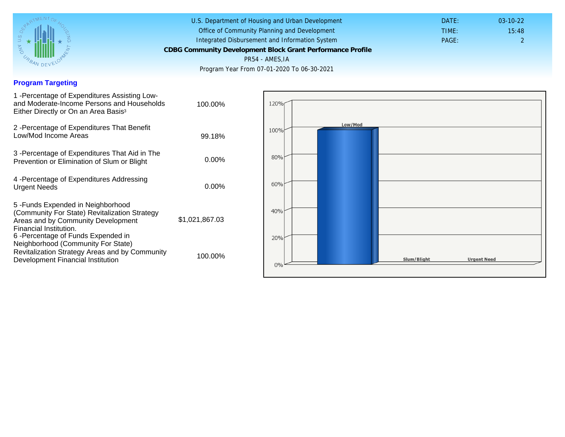### Program Targeting

| 1 - Percentage of Expenditures Assisting Low-<br>and Moderate-Income Persons and Households<br>Either Directly or On an Area Basis <sup>3</sup>                                        | 100.00%        |
|----------------------------------------------------------------------------------------------------------------------------------------------------------------------------------------|----------------|
| 2 - Percentage of Expenditures That Benefit<br>Low/Mod Income Areas                                                                                                                    | 99.18%         |
| 3 -Percentage of Expenditures That Aid in The<br>Prevention or Elimination of Slum or Blight                                                                                           | $0.00\%$       |
| 4 - Percentage of Expenditures Addressing<br><b>Urgent Needs</b>                                                                                                                       | $0.00\%$       |
| 5-Funds Expended in Neighborhood<br>(Community For State) Revitalization Strategy<br>Areas and by Community Development<br>Financial Institution.<br>6-Percentage of Funds Expended in | \$1,021,867.03 |
| Neighborhood (Community For State)<br>Revitalization Strategy Areas and by Community<br>Development Financial Institution                                                              | 100.00%        |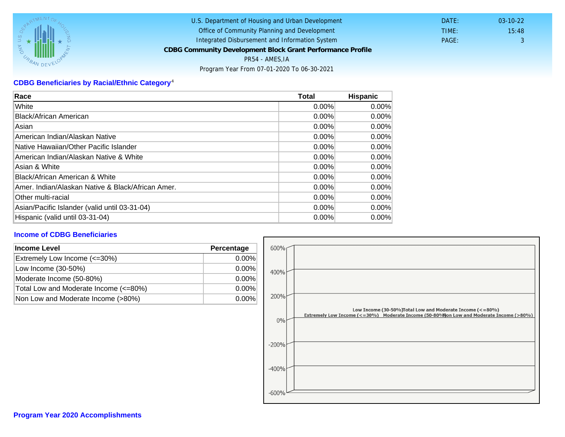# CDBG Beneficiaries by Racial/Ethnic Category <sup>4</sup>

| Race                                              | Total    | Hispanic |
|---------------------------------------------------|----------|----------|
| White                                             | $0.00\%$ | $0.00\%$ |
| Black/African American                            | 0.00%    | $0.00\%$ |
| Asian                                             | 0.00%    | 0.00%    |
| American Indian/Alaskan Native                    | 0.00%    | $0.00\%$ |
| Native Hawaiian/Other Pacific Islander            | $0.00\%$ | $0.00\%$ |
| American Indian/Alaskan Native & White            | 0.00%    | $0.00\%$ |
| Asian & White                                     | 0.00%    | 0.00%    |
| Black/African American & White                    | 0.00%    | 0.00%    |
| Amer. Indian/Alaskan Native & Black/African Amer. | $0.00\%$ | $0.00\%$ |
| <b>Other multi-racial</b>                         | 0.00%    | $0.00\%$ |
| Asian/Pacific Islander (valid until 03-31-04)     | $0.00\%$ | 0.00%    |
| Hispanic (valid until 03-31-04)                   | 0.00%    | 0.00%    |

### Income of CDBG Beneficiaries

| Income Level                          | Percentage |
|---------------------------------------|------------|
| Extremely Low Income (<=30%)          | $0.00\%$   |
| Low Income (30-50%)                   | $0.00\%$   |
| Moderate Income (50-80%)              | $0.00\%$   |
| Total Low and Moderate Income (<=80%) | $0.00\%$   |
| Non Low and Moderate Income (>80%)    | 0.00%      |